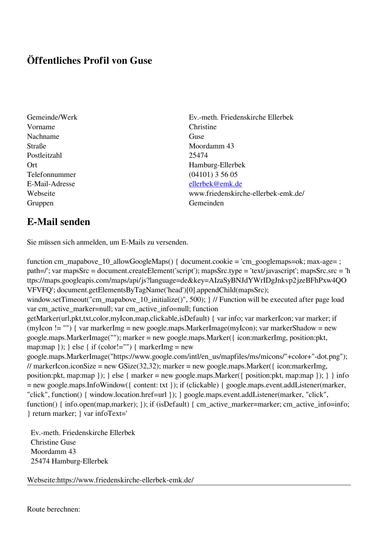## **Öffentliches Profil von Guse**

- Gemeinde/Werk Ev.-meth. Friedenskirche Ellerbek Vorname Christine Nachname Guse Straße Moordamm 43 Postleitzahl 25474 Telefonnummer (04101) 3 56 05 Gruppen Gemeinden Gemeinden Gemeinden Gemeinden Gemeinden Gemeinden Gemeinden Gemeinden Gemeinden Gemeinden G
- Ort Hamburg-Ellerbek E-Mail-Adresse [ellerbek@emk.de](mailto:ellerbek@emk.de) Webseite www.friedenskirche-ellerbek-emk.de/

## **E-Mail senden**

Sie müssen sich anmelden, um E-Mails zu versenden.

function cm\_mapabove\_10\_allowGoogleMaps() { document.cookie = 'cm\_googlemaps=ok; max-age= ; path=/'; var mapsSrc = document.createElement('script'); mapsSrc.type = 'text/javascript'; mapsSrc.src = 'h ttps://maps.googleapis.com/maps/api/js?language=de&key=AIzaSyBNJdYWrIDgJnkvp2jzeBFhPxw4QO VFVFQ'; document.getElementsByTagName('head')[0].appendChild(mapsSrc); window.setTimeout("cm\_mapabove\_10\_initialize()", 500); } // Function will be executed after page load var cm\_active\_marker=null; var cm\_active\_info=null; function getMarker(url,pkt,txt,color,myIcon,map,clickable,isDefault) { var info; var markerIcon; var marker; if (myIcon != "") { var markerImg = new google.maps.MarkerImage(myIcon); var markerShadow = new google.maps.MarkerImage(""); marker = new google.maps.Marker({ icon:markerImg, position:pkt, map:map  $\}$ ;  $\}$  else  $\{$  if (color!="")  $\{$  markerImg = new google.maps.MarkerImage("https://www.google.com/intl/en\_us/mapfiles/ms/micons/"+color+"-dot.png"); // markerIcon.iconSize = new GSize(32,32); marker = new google.maps.Marker({ $i$ con:markerImg, position:pkt, map:map }); } else { marker = new google.maps.Marker({ position:pkt, map:map }); } } info = new google.maps.InfoWindow({ content: txt }); if (clickable) { google.maps.event.addListener(marker, "click", function() { window.location.href=url }); } google.maps.event.addListener(marker, "click", function() { info.open(map,marker); }); if (isDefault) { cm\_active\_marker=marker; cm\_active\_info=info; } return marker; } var infoText='

 Ev.-meth. Friedenskirche Ellerbek Christine Guse Moordamm 43 25474 Hamburg-Ellerbek

Webseite:https://www.friedenskirche-ellerbek-emk.de/